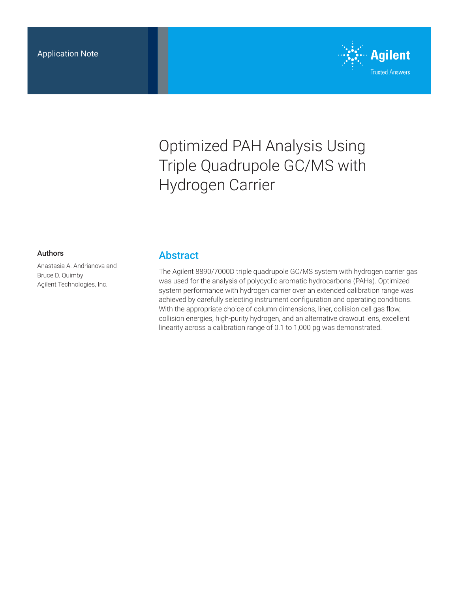

# Optimized PAH Analysis Using Triple Quadrupole GC/MS with Hydrogen Carrier

#### Authors

Anastasia A. Andrianova and Bruce D. Quimby Agilent Technologies, Inc.

#### Abstract

The Agilent 8890/7000D triple quadrupole GC/MS system with hydrogen carrier gas was used for the analysis of polycyclic aromatic hydrocarbons (PAHs). Optimized system performance with hydrogen carrier over an extended calibration range was achieved by carefully selecting instrument configuration and operating conditions. With the appropriate choice of column dimensions, liner, collision cell gas flow, collision energies, high-purity hydrogen, and an alternative drawout lens, excellent linearity across a calibration range of 0.1 to 1,000 pg was demonstrated.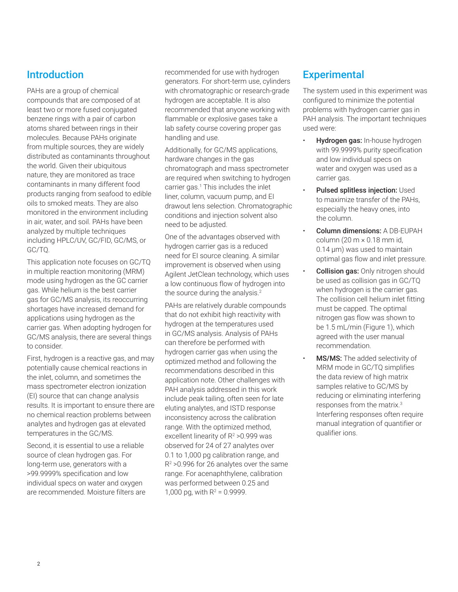## Introduction

PAHs are a group of chemical compounds that are composed of at least two or more fused conjugated benzene rings with a pair of carbon atoms shared between rings in their molecules. Because PAHs originate from multiple sources, they are widely distributed as contaminants throughout the world. Given their ubiquitous nature, they are monitored as trace contaminants in many different food products ranging from seafood to edible oils to smoked meats. They are also monitored in the environment including in air, water, and soil. PAHs have been analyzed by multiple techniques including HPLC/UV, GC/FID, GC/MS, or GC/TQ.

This application note focuses on GC/TQ in multiple reaction monitoring (MRM) mode using hydrogen as the GC carrier gas. While helium is the best carrier gas for GC/MS analysis, its reoccurring shortages have increased demand for applications using hydrogen as the carrier gas. When adopting hydrogen for GC/MS analysis, there are several things to consider.

First, hydrogen is a reactive gas, and may potentially cause chemical reactions in the inlet, column, and sometimes the mass spectrometer electron ionization (EI) source that can change analysis results. It is important to ensure there are no chemical reaction problems between analytes and hydrogen gas at elevated temperatures in the GC/MS.

Second, it is essential to use a reliable source of clean hydrogen gas. For long-term use, generators with a >99.9999% specification and low individual specs on water and oxygen are recommended. Moisture filters are recommended for use with hydrogen generators. For short-term use, cylinders with chromatographic or research-grade hydrogen are acceptable. It is also recommended that anyone working with flammable or explosive gases take a lab safety course covering proper gas handling and use.

Additionally, for GC/MS applications, hardware changes in the gas chromatograph and mass spectrometer are required when switching to hydrogen carrier gas.1 This includes the inlet liner, column, vacuum pump, and EI drawout lens selection. Chromatographic conditions and injection solvent also need to be adjusted.

One of the advantages observed with hydrogen carrier gas is a reduced need for EI source cleaning. A similar improvement is observed when using Agilent JetClean technology, which uses a low continuous flow of hydrogen into the source during the analysis. $2$ 

PAHs are relatively durable compounds that do not exhibit high reactivity with hydrogen at the temperatures used in GC/MS analysis. Analysis of PAHs can therefore be performed with hydrogen carrier gas when using the optimized method and following the recommendations described in this application note. Other challenges with PAH analysis addressed in this work include peak tailing, often seen for late eluting analytes, and ISTD response inconsistency across the calibration range. With the optimized method, excellent linearity of R<sup>2</sup> > 0.999 was observed for 24 of 27 analytes over 0.1 to 1,000 pg calibration range, and R2 >0.996 for 26 analytes over the same range. For acenaphthylene, calibration was performed between 0.25 and 1,000 pg, with  $R^2 = 0.9999$ .

### **Experimental**

The system used in this experiment was configured to minimize the potential problems with hydrogen carrier gas in PAH analysis. The important techniques used were:

- Hydrogen gas: In-house hydrogen with 99.9999% purity specification and low individual specs on water and oxygen was used as a carrier gas.
- Pulsed splitless injection: Used to maximize transfer of the PAHs, especially the heavy ones, into the column.
- Column dimensions: A DB-EUPAH column (20  $m \times 0.18$  mm id, 0.14 µm) was used to maintain optimal gas flow and inlet pressure.
- Collision gas: Only nitrogen should be used as collision gas in GC/TQ when hydrogen is the carrier gas. The collision cell helium inlet fitting must be capped. The optimal nitrogen gas flow was shown to be 1.5 mL/min (Figure 1), which agreed with the user manual recommendation.
- MS/MS: The added selectivity of MRM mode in GC/TQ simplifies the data review of high matrix samples relative to GC/MS by reducing or eliminating interfering responses from the matrix.3 Interfering responses often require manual integration of quantifier or qualifier ions.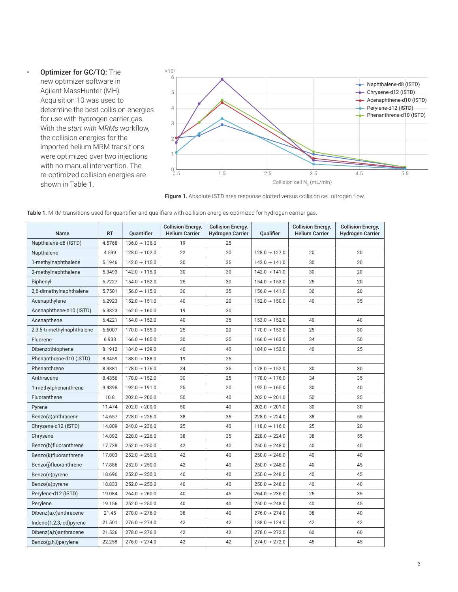• Optimizer for GC/TQ: The new optimizer software in Agilent MassHunter (MH) Acquisition 10 was used to determine the best collision energies for use with hydrogen carrier gas. With the *start with MRMs* workflow, the collision energies for the imported helium MRM transitions were optimized over two injections with no manual intervention. The re-optimized collision energies are shown in Table 1.



Figure 1. Absolute ISTD area response plotted versus collision cell nitrogen flow.

| <b>Name</b>                | <b>RT</b> | <b>Ouantifier</b>         | <b>Collision Energy,</b><br><b>Helium Carrier</b> | <b>Collision Energy,</b><br><b>Hydrogen Carrier</b><br><b>Oualifier</b> |                           | <b>Collision Energy,</b><br><b>Helium Carrier</b> | <b>Collision Energy,</b><br><b>Hydrogen Carrier</b> |
|----------------------------|-----------|---------------------------|---------------------------------------------------|-------------------------------------------------------------------------|---------------------------|---------------------------------------------------|-----------------------------------------------------|
| Napthalene-d8 (ISTD)       | 4.5768    | $136.0 \rightarrow 136.0$ | 19                                                | 25                                                                      |                           |                                                   |                                                     |
| Napthalene                 | 4.599     | $128.0 \rightarrow 102.0$ | 22                                                | 20                                                                      | $128.0 \rightarrow 127.0$ | 20                                                | 20                                                  |
| 1-methylnaphthalene        | 5.1946    | $142.0 \rightarrow 115.0$ | 30                                                | 35                                                                      | $142.0 \rightarrow 141.0$ | 30                                                | 20                                                  |
| 2-methylnaphthalene        | 5.3493    | $142.0 \rightarrow 115.0$ | 30                                                | 30                                                                      | $142.0 \rightarrow 141.0$ | 30                                                | 20                                                  |
| Biphenyl                   | 5.7227    | $154.0 \rightarrow 152.0$ | 25                                                | 30                                                                      | $154.0 \rightarrow 153.0$ | 25                                                | 20                                                  |
| 2,6-dimethylnaphthalene    | 5.7501    | $156.0 \rightarrow 115.0$ | 30                                                | 35                                                                      | $156.0 \rightarrow 141.0$ | 30                                                | 20                                                  |
| Acenapthylene              | 6.2923    | $152.0 \rightarrow 151.0$ | 40                                                | 20                                                                      | $152.0 \rightarrow 150.0$ | 40                                                | 35                                                  |
| Acenaphthene-d10 (ISTD)    | 6.3823    | $162.0 \rightarrow 160.0$ | 19                                                | 30                                                                      |                           |                                                   |                                                     |
| Acenapthene                | 6.4221    | $154.0 \rightarrow 152.0$ | 40                                                | 35                                                                      | $153.0 \rightarrow 152.0$ | 40                                                | 40                                                  |
| 2,3,5-trimethylnaphthalene | 6.6007    | $170.0 \rightarrow 155.0$ | 25                                                | 20                                                                      | $170.0 \rightarrow 153.0$ | 25                                                | 30                                                  |
| Fluorene                   | 6.933     | $166.0 \rightarrow 165.0$ | 30                                                | 25                                                                      | $166.0 \rightarrow 163.0$ | 34                                                | 50                                                  |
| Dibenzothiophene           | 8.1912    | $184.0 \rightarrow 139.0$ | 40                                                | 40                                                                      | $184.0 \rightarrow 152.0$ | 40                                                | 25                                                  |
| Phenanthrene-d10 (ISTD)    | 8.3459    | $188.0 \rightarrow 188.0$ | 19                                                | 25                                                                      |                           |                                                   |                                                     |
| Phenanthrene               | 8.3881    | $178.0 \rightarrow 176.0$ | 34                                                | 35                                                                      | $178.0 \rightarrow 152.0$ | 30                                                | 30                                                  |
| Anthracene                 | 8.4356    | $178.0 \rightarrow 152.0$ | 30                                                | 25                                                                      | $178.0 \rightarrow 176.0$ | 34                                                | 35                                                  |
| 1-methylphenanthrene       | 9.4398    | $192.0 \rightarrow 191.0$ | 25                                                | 20                                                                      | $192.0 \rightarrow 165.0$ | 30                                                | 40                                                  |
| Fluoranthene               | 10.8      | $202.0 \rightarrow 200.0$ | 50                                                | 40                                                                      | $202.0 \rightarrow 201.0$ | 50                                                | 25                                                  |
| Pyrene                     | 11.474    | $202.0 \rightarrow 200.0$ | 50                                                | 40                                                                      | $202.0 \rightarrow 201.0$ | 30                                                | 30                                                  |
| Benzo(a)anthracene         | 14.657    | $228.0 \rightarrow 226.0$ | 38                                                | 35                                                                      | $228.0 \rightarrow 224.0$ | 38                                                | 55                                                  |
| Chrysene-d12 (ISTD)        | 14.809    | $240.0 \rightarrow 236.0$ | 25                                                | 40                                                                      | $118.0 \rightarrow 116.0$ | 25                                                | 20                                                  |
| Chrysene                   | 14.892    | $228.0 \rightarrow 226.0$ | 38                                                | 35                                                                      | $228.0 \rightarrow 224.0$ | 38                                                | 55                                                  |
| Benzo(b)fluoranthrene      | 17.738    | $252.0 \rightarrow 250.0$ | 42                                                | 40                                                                      | $250.0 \rightarrow 248.0$ | 40                                                | 40                                                  |
| Benzo(k)fluoranthrene      | 17.803    | $252.0 \rightarrow 250.0$ | 42                                                | 40                                                                      | $250.0 \rightarrow 248.0$ | 40                                                | 40                                                  |
| Benzo(j)fluoranthrene      | 17.886    | $252.0 \rightarrow 250.0$ | 42                                                | 40                                                                      | $250.0 \rightarrow 248.0$ | 40                                                | 45                                                  |
| Benzo(e)pyrene             | 18.696    | $252.0 \rightarrow 250.0$ | 40                                                | 40                                                                      | $250.0 \rightarrow 248.0$ | 40                                                | 45                                                  |
| Benzo(a)pyrene             | 18.833    | $252.0 \rightarrow 250.0$ | 40                                                | 40                                                                      | $250.0 \rightarrow 248.0$ | 40                                                | 40                                                  |
| Perylene-d12 (ISTD)        | 19.084    | $264.0 \rightarrow 260.0$ | 40                                                | 45                                                                      | $264.0 \rightarrow 236.0$ | 25                                                | 35                                                  |
| Perylene                   | 19.156    | $252.0 \rightarrow 250.0$ | 40                                                | 40                                                                      | $250.0 \rightarrow 248.0$ | 40                                                | 45                                                  |
| Dibenz(a,c)anthracene      | 21.45     | $278.0 \rightarrow 276.0$ | 38                                                | 40                                                                      | $276.0 \rightarrow 274.0$ | 38                                                | 40                                                  |
| $Indeno(1,2,3, -cd)pyrene$ | 21.501    | $276.0 \rightarrow 274.0$ | 42                                                | 42                                                                      | $138.0 \rightarrow 124.0$ | 42                                                | 42                                                  |
| Dibenz(a,h)anthracene      | 21.536    | $278.0 \rightarrow 276.0$ | 42                                                | 42                                                                      | $278.0 \rightarrow 272.0$ | 60                                                | 60                                                  |
| Benzo(g,h,i)perylene       | 22.258    | $276.0 \rightarrow 274.0$ | 42                                                | 42                                                                      | $274.0 \rightarrow 272.0$ | 45                                                | 45                                                  |

|  |  | Table 1. MRM transitions used for quantifier and qualifiers with collision energies optimized for hydrogen carrier gas. |  |
|--|--|-------------------------------------------------------------------------------------------------------------------------|--|
|  |  |                                                                                                                         |  |
|  |  |                                                                                                                         |  |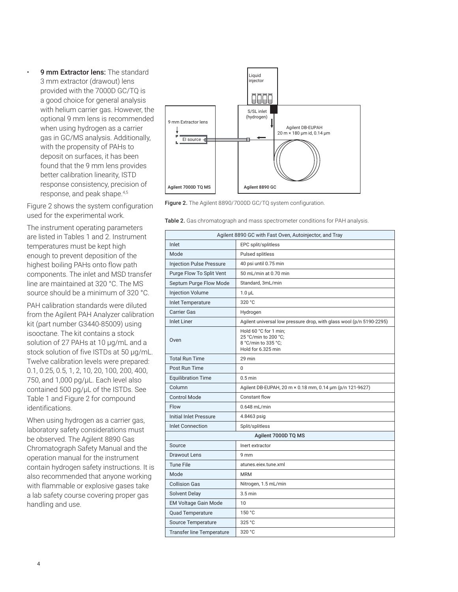9 mm Extractor lens: The standard 3 mm extractor (drawout) lens provided with the 7000D GC/TQ is a good choice for general analysis with helium carrier gas. However, the optional 9 mm lens is recommended when using hydrogen as a carrier gas in GC/MS analysis. Additionally, with the propensity of PAHs to deposit on surfaces, it has been found that the 9 mm lens provides better calibration linearity, ISTD response consistency, precision of response, and peak shape.4,5

Figure 2 shows the system configuration used for the experimental work.

The instrument operating parameters are listed in Tables 1 and 2. Instrument temperatures must be kept high enough to prevent deposition of the highest boiling PAHs onto flow path components. The inlet and MSD transfer line are maintained at 320 °C. The MS source should be a minimum of 320 °C.

PAH calibration standards were diluted from the Agilent PAH Analyzer calibration kit (part number G3440-85009) using isooctane. The kit contains a stock solution of 27 PAHs at 10 µg/mL and a stock solution of five ISTDs at 50 µg/mL. Twelve calibration levels were prepared: 0.1, 0.25, 0.5, 1, 2, 10, 20, 100, 200, 400, 750, and 1,000 pg/µL. Each level also contained 500 pg/µL of the ISTDs. See Table 1 and Figure 2 for compound identifications.

When using hydrogen as a carrier gas, laboratory safety considerations must be observed. The Agilent 8890 Gas Chromatograph Safety Manual and the operation manual for the instrument contain hydrogen safety instructions. It is also recommended that anyone working with flammable or explosive gases take a lab safety course covering proper gas handling and use.



Figure 2. The Agilent 8890/7000D GC/TQ system configuration.

Table 2. Gas chromatograph and mass spectrometer conditions for PAH analysis.

| Agilent 8890 GC with Fast Oven, Autoinjector, and Tray |                                                                                            |  |  |  |  |  |
|--------------------------------------------------------|--------------------------------------------------------------------------------------------|--|--|--|--|--|
| Inlet                                                  | EPC split/splitless                                                                        |  |  |  |  |  |
| Mode                                                   | Pulsed splitless                                                                           |  |  |  |  |  |
| <b>Injection Pulse Pressure</b>                        | 40 psi until 0.75 min                                                                      |  |  |  |  |  |
| Purge Flow To Split Vent                               | 50 mL/min at 0.70 min                                                                      |  |  |  |  |  |
| Septum Purge Flow Mode                                 | Standard, 3mL/min                                                                          |  |  |  |  |  |
| <b>Injection Volume</b>                                | $1.0 \mu L$                                                                                |  |  |  |  |  |
| <b>Inlet Temperature</b>                               | 320 °C                                                                                     |  |  |  |  |  |
| <b>Carrier Gas</b>                                     | Hydrogen                                                                                   |  |  |  |  |  |
| <b>Inlet Liner</b>                                     | Agilent universal low pressure drop, with glass wool (p/n 5190-2295)                       |  |  |  |  |  |
| Oven                                                   | Hold 60 °C for 1 min;<br>25 °C/min to 200 °C:<br>8 °C/min to 335 °C:<br>Hold for 6.325 min |  |  |  |  |  |
| <b>Total Run Time</b>                                  | 29 min                                                                                     |  |  |  |  |  |
| Post Run Time                                          | $\Omega$                                                                                   |  |  |  |  |  |
| <b>Equilibration Time</b>                              | $0.5$ min                                                                                  |  |  |  |  |  |
| Column                                                 | Agilent DB-EUPAH, 20 m × 0.18 mm, 0.14 um (p/n 121-9627)                                   |  |  |  |  |  |
| <b>Control Mode</b>                                    | Constant flow                                                                              |  |  |  |  |  |
| Flow                                                   | $0.648$ mL/min                                                                             |  |  |  |  |  |
| Initial Inlet Pressure                                 | 4.8463 psig                                                                                |  |  |  |  |  |
| <b>Inlet Connection</b>                                | Split/splitless                                                                            |  |  |  |  |  |
| Agilent 7000D TQ MS                                    |                                                                                            |  |  |  |  |  |
| Source                                                 | Inert extractor                                                                            |  |  |  |  |  |
| Drawout Lens                                           | 9 <sub>mm</sub>                                                                            |  |  |  |  |  |
| <b>Tune File</b>                                       | atunes.eiex.tune.xml                                                                       |  |  |  |  |  |
| Mode                                                   | <b>MRM</b>                                                                                 |  |  |  |  |  |
| <b>Collision Gas</b>                                   | Nitrogen, 1.5 mL/min                                                                       |  |  |  |  |  |
| <b>Solvent Delay</b>                                   | $3.5 \text{ min}$                                                                          |  |  |  |  |  |
| <b>EM Voltage Gain Mode</b>                            | 10                                                                                         |  |  |  |  |  |
| <b>Quad Temperature</b>                                | 150 °C                                                                                     |  |  |  |  |  |
| Source Temperature                                     | 325 °C                                                                                     |  |  |  |  |  |
| <b>Transfer line Temperature</b>                       | 320 °C                                                                                     |  |  |  |  |  |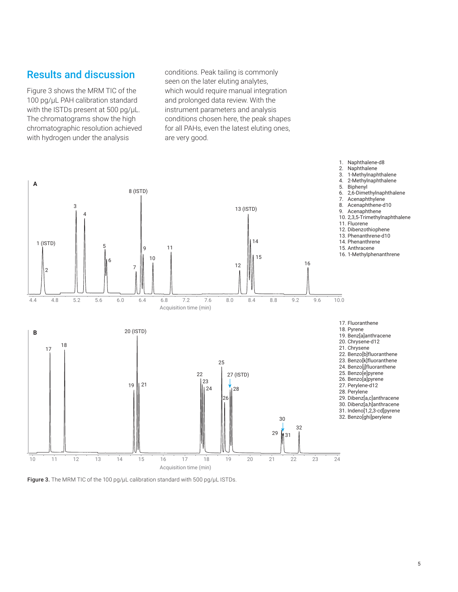#### Results and discussion

Figure 3 shows the MRM TIC of the 100 pg/µL PAH calibration standard with the ISTDs present at 500 pg/µL. The chromatograms show the high chromatographic resolution achieved with hydrogen under the analysis

conditions. Peak tailing is commonly seen on the later eluting analytes, which would require manual integration and prolonged data review. With the instrument parameters and analysis conditions chosen here, the peak shapes for all PAHs, even the latest eluting ones, are very good.



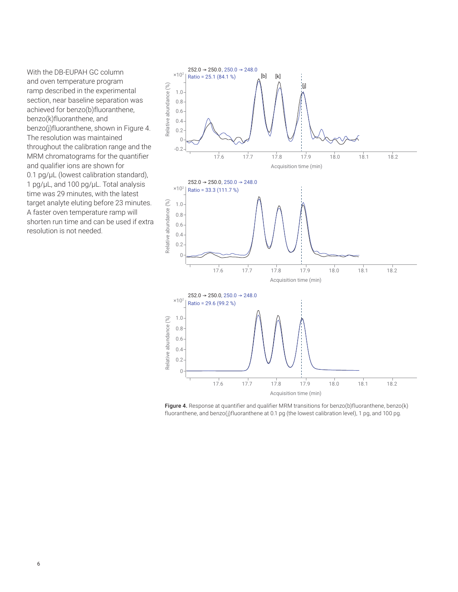With the DB-EUPAH GC column and oven temperature program ramp described in the experimental section, near baseline separation was achieved for benzo(b)fluoranthene, benzo(k)fluoranthene, and benzo(j)fluoranthene, shown in Figure 4. The resolution was maintained throughout the calibration range and the MRM chromatograms for the quantifier and qualifier ions are shown for 0.1 pg/µL (lowest calibration standard), 1 pg/µL, and 100 pg/µL. Total analysis time was 29 minutes, with the latest target analyte eluting before 23 minutes. A faster oven temperature ramp will shorten run time and can be used if extra resolution is not needed.



Figure 4. Response at quantifier and qualifier MRM transitions for benzo(b)fluoranthene, benzo(k) fluoranthene, and benzo(j)fluoranthene at 0.1 pg (the lowest calibration level), 1 pg, and 100 pg.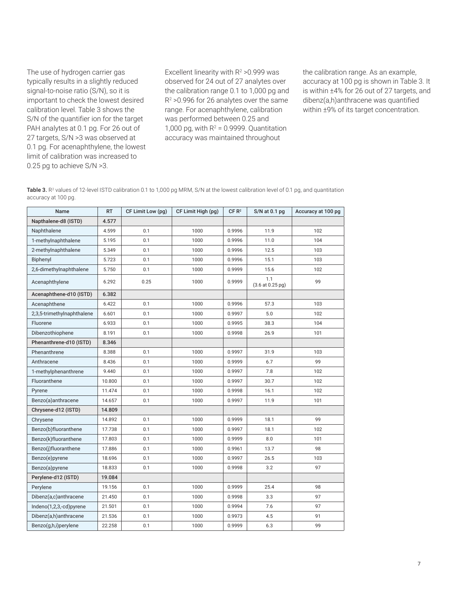The use of hydrogen carrier gas typically results in a slightly reduced signal-to-noise ratio (S/N), so it is important to check the lowest desired calibration level. Table 3 shows the S/N of the quantifier ion for the target PAH analytes at 0.1 pg. For 26 out of 27 targets, S/N >3 was observed at 0.1 pg. For acenaphthylene, the lowest limit of calibration was increased to 0.25 pg to achieve S/N >3.

Excellent linearity with  $R^2 > 0.999$  was observed for 24 out of 27 analytes over the calibration range 0.1 to 1,000 pg and R2 >0.996 for 26 analytes over the same range. For acenaphthylene, calibration was performed between 0.25 and 1,000 pg, with  $R^2$  = 0.9999. Quantitation accuracy was maintained throughout

the calibration range. As an example, accuracy at 100 pg is shown in Table 3. It is within ±4% for 26 out of 27 targets, and dibenz(a,h)anthracene was quantified within ±9% of its target concentration.

Table 3. R<sup>2</sup> values of 12-level ISTD calibration 0.1 to 1,000 pg MRM, S/N at the lowest calibration level of 0.1 pg, and quantitation accuracy at 100 pg.

| Name                       | <b>RT</b> | CF Limit Low (pg) | CF Limit High (pg) | CF R <sup>2</sup> | $S/N$ at 0.1 pg         | Accuracy at 100 pg |
|----------------------------|-----------|-------------------|--------------------|-------------------|-------------------------|--------------------|
| Napthalene-d8 (ISTD)       | 4.577     |                   |                    |                   |                         |                    |
| Naphthalene                | 4.599     | 0.1               | 1000               | 0.9996            | 11.9                    | 102                |
| 1-methylnaphthalene        | 5.195     | 0.1               | 1000               | 0.9996            | 11.0                    | 104                |
| 2-methylnaphthalene        | 5.349     | 0.1               | 1000               | 0.9996            | 12.5                    | 103                |
| Biphenyl                   | 5.723     | 0.1               | 1000               | 0.9996            | 15.1                    | 103                |
| 2,6-dimethylnaphthalene    | 5.750     | 0.1               | 1000               | 0.9999            | 15.6                    | 102                |
| Acenaphthylene             | 6.292     | 0.25              | 1000               | 0.9999            | 1.1<br>(3.6 at 0.25 pg) | 99                 |
| Acenaphthene-d10 (ISTD)    | 6.382     |                   |                    |                   |                         |                    |
| Acenaphthene               | 6.422     | 0.1               | 1000               | 0.9996            | 57.3                    | 103                |
| 2,3,5-trimethylnaphthalene | 6.601     | 0.1               | 1000               | 0.9997            | 5.0                     | 102                |
| Fluorene                   | 6.933     | 0.1               | 1000               | 0.9995            | 38.3                    | 104                |
| Dibenzothiophene           | 8.191     | 0.1               | 1000               | 0.9998            | 26.9                    | 101                |
| Phenanthrene-d10 (ISTD)    | 8.346     |                   |                    |                   |                         |                    |
| Phenanthrene               | 8.388     | 0.1               | 1000               | 0.9997            | 31.9                    | 103                |
| Anthracene                 | 8.436     | 0.1               | 1000               | 0.9999            | 6.7                     | 99                 |
| 1-methylphenanthrene       | 9.440     | 0.1               | 1000               | 0.9997            | 7.8                     | 102                |
| Fluoranthene               | 10.800    | 0.1               | 1000               | 0.9997            | 30.7                    | 102                |
| Pyrene                     | 11.474    | 0.1               | 1000               | 0.9998            | 16.1                    | 102                |
| Benzo(a)anthracene         | 14.657    | 0.1               | 1000               | 0.9997            | 11.9                    | 101                |
| Chrysene-d12 (ISTD)        | 14.809    |                   |                    |                   |                         |                    |
| Chrysene                   | 14.892    | 0.1               | 1000               | 0.9999            | 18.1                    | 99                 |
| Benzo(b)fluoranthene       | 17.738    | 0.1               | 1000               | 0.9997            | 18.1                    | 102                |
| Benzo(k)fluoranthene       | 17.803    | 0.1               | 1000               | 0.9999            | 8.0                     | 101                |
| Benzo(j)fluoranthene       | 17.886    | 0.1               | 1000               | 0.9961            | 13.7                    | 98                 |
| Benzo(e)pyrene             | 18.696    | 0.1               | 1000               | 0.9997            | 26.5                    | 103                |
| Benzo(a)pyrene             | 18.833    | 0.1               | 1000               | 0.9998            | 3.2                     | 97                 |
| Perylene-d12 (ISTD)        | 19.084    |                   |                    |                   |                         |                    |
| Perylene                   | 19.156    | 0.1               | 1000               | 0.9999            | 25.4                    | 98                 |
| Dibenz(a,c)anthracene      | 21.450    | 0.1               | 1000               | 0.9998            | 3.3                     | 97                 |
| Indeno(1,2,3,-cd)pyrene    | 21.501    | 0.1               | 1000               | 0.9994            | 7.6                     | 97                 |
| Dibenz(a,h)anthracene      | 21.536    | 0.1               | 1000               | 0.9973            | 4.5                     | 91                 |
| Benzo(g,h,i)perylene       | 22.258    | 0.1               | 1000               | 0.9999            | 6.3                     | 99                 |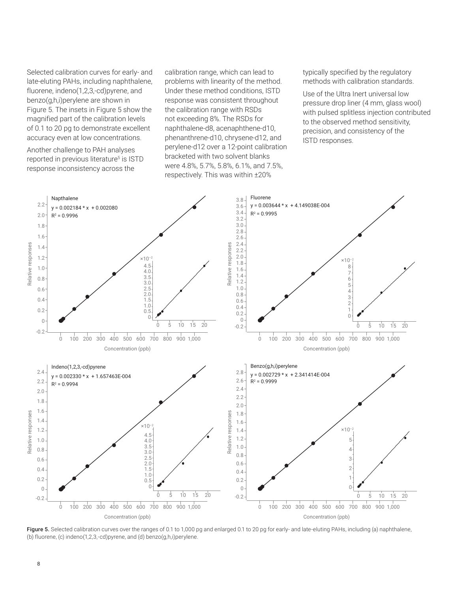Selected calibration curves for early- and late-eluting PAHs, including naphthalene, fluorene, indeno(1,2,3,-cd)pyrene, and benzo(g,h,i)perylene are shown in Figure 5. The insets in Figure 5 show the magnified part of the calibration levels of 0.1 to 20 pg to demonstrate excellent accuracy even at low concentrations.

Another challenge to PAH analyses reported in previous literature<sup>5</sup> is ISTD response inconsistency across the

calibration range, which can lead to problems with linearity of the method. Under these method conditions, ISTD response was consistent throughout the calibration range with RSDs not exceeding 8%. The RSDs for naphthalene-d8, acenaphthene-d10, phenanthrene-d10, chrysene-d12, and perylene-d12 over a 12-point calibration bracketed with two solvent blanks were 4.8%, 5.7%, 5.8%, 6.1%, and 7.5%, respectively. This was within ±20%

typically specified by the regulatory methods with calibration standards.

Use of the Ultra Inert universal low pressure drop liner (4 mm, glass wool) with pulsed splitless injection contributed to the observed method sensitivity, precision, and consistency of the ISTD responses.



Figure 5. Selected calibration curves over the ranges of 0.1 to 1,000 pg and enlarged 0.1 to 20 pg for early- and late-eluting PAHs, including (a) naphthalene, (b) fluorene, (c) indeno(1,2,3,-cd)pyrene, and (d) benzo(g,h,i)perylene.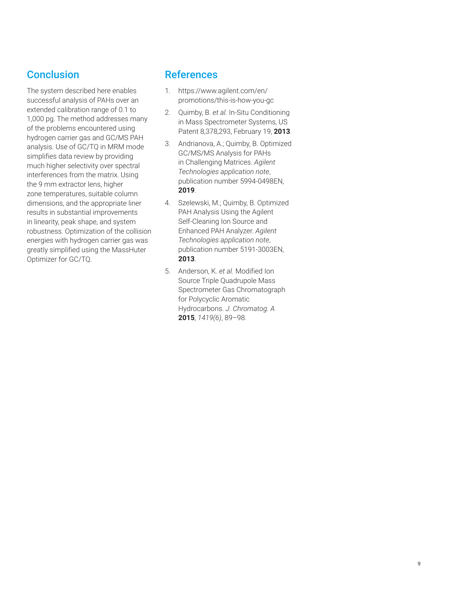## **Conclusion**

The system described here enables successful analysis of PAHs over an extended calibration range of 0.1 to 1,000 pg. The method addresses many of the problems encountered using hydrogen carrier gas and GC/MS PAH analysis. Use of GC/TQ in MRM mode simplifies data review by providing much higher selectivity over spectral interferences from the matrix. Using the 9 mm extractor lens, higher zone temperatures, suitable column dimensions, and the appropriate liner results in substantial improvements in linearity, peak shape, and system robustness. Optimization of the collision energies with hydrogen carrier gas was greatly simplified using the MassHuter Optimizer for GC/TQ.

#### **References**

- 1. https://www.agilent.com/en/ promotions/this-is-how-you-gc
- 2. Quimby, B. *et al.* In-Situ Conditioning in Mass Spectrometer Systems, US Patent 8,378,293, February 19, **2013**.
- 3. Andrianova, A.; Quimby, B. Optimized GC/MS/MS Analysis for PAHs in Challenging Matrices. *Agilent Technologies application note*, publication number 5994-0498EN, **2019**.
- 4. Szelewski, M.; Quimby, B. Optimized PAH Analysis Using the Agilent Self-Cleaning Ion Source and Enhanced PAH Analyzer. *Agilent Technologies application note*, publication number 5191-3003EN, **2013**.
- 5. Anderson, K. *et al.* Modified Ion Source Triple Quadrupole Mass Spectrometer Gas Chromatograph for Polycyclic Aromatic Hydrocarbons. *J. Chromatog. A* **2015**, *1419(6)*, 89–98.